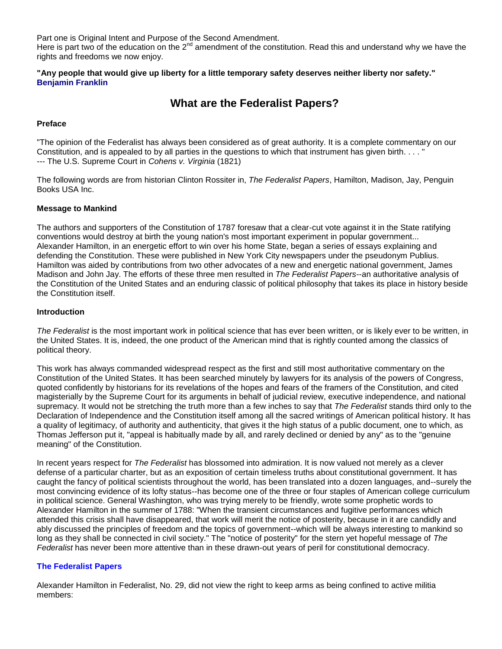Part one is Original Intent and Purpose of the Second Amendment.

Here is part two of the education on the  $2^{nd}$  amendment of the constitution. Read this and understand why we have the rights and freedoms we now enjoy.

## **"Any people that would give up liberty for a little temporary safety deserves neither liberty nor safety." Benjamin Franklin**

# **What are the Federalist Papers?**

# **Preface**

"The opinion of the Federalist has always been considered as of great authority. It is a complete commentary on our Constitution, and is appealed to by all parties in the questions to which that instrument has given birth. . . . " --- The U.S. Supreme Court in *[Cohens v. Virginia](http://supreme.justia.com/us/19/264/)* (1821)

The following words are from historian Clinton Rossiter in, *[The Federalist Papers](http://avalon.law.yale.edu/subject_menus/fed.asp)*, Hamilton, Madison, Jay, Penguin Books USA Inc.

# **Message to Mankind**

The authors and supporters of the Constitution of 1787 foresaw that a clear-cut vote against it in the State ratifying conventions would destroy at birth the young nation's most important experiment in popular government... Alexander Hamilton, in an energetic effort to win over his home State, began a series of essays explaining and defending the Constitution. These were published in New York City newspapers under the pseudonym Publius. Hamilton was aided by contributions from two other advocates of a new and energetic national government, James Madison and John Jay. The efforts of these three men resulted in *The Federalist Papers*--an authoritative analysis of the Constitution of the United States and an enduring classic of political philosophy that takes its place in history beside the Constitution itself.

## **Introduction**

*The Federalist* is the most important work in political science that has ever been written, or is likely ever to be written, in the United States. It is, indeed, the one product of the American mind that is rightly counted among the classics of political theory.

This work has always commanded widespread respect as the first and still most authoritative commentary on the Constitution of the United States. It has been searched minutely by lawyers for its analysis of the powers of Congress, quoted confidently by historians for its revelations of the hopes and fears of the framers of the Constitution, and cited magisterially by the Supreme Court for its arguments in behalf of judicial review, executive independence, and national supremacy. It would not be stretching the truth more than a few inches to say that *The Federalist* stands third only to the Declaration of Independence and the Constitution itself among all the sacred writings of American political history. It has a quality of legitimacy, of authority and authenticity, that gives it the high status of a public document, one to which, as Thomas Jefferson put it, "appeal is habitually made by all, and rarely declined or denied by any" as to the "genuine meaning" of the Constitution.

In recent years respect for *The Federalist* has blossomed into admiration. It is now valued not merely as a clever defense of a particular charter, but as an exposition of certain timeless truths about constitutional government. It has caught the fancy of political scientists throughout the world, has been translated into a dozen languages, and--surely the most convincing evidence of its lofty status--has become one of the three or four staples of American college curriculum in political science. General Washington, who was trying merely to be friendly, wrote some prophetic words to Alexander Hamilton in the summer of 1788: "When the transient circumstances and fugitive performances which attended this crisis shall have disappeared, that work will merit the notice of posterity, because in it are candidly and ably discussed the principles of freedom and the topics of government--which will be always interesting to mankind so long as they shall be connected in civil society." The "notice of posterity" for the stern yet hopeful message of *The Federalist* has never been more attentive than in these drawn-out years of peril for constitutional democracy.

## **The Federalist Papers**

[Alexander Hamilton](http://en.wikipedia.org/wiki/Alexander_Hamilton) in [Federalist, No. 29,](http://avalon.law.yale.edu/18th_century/fed29.asp) did not view the right to keep arms as being confined to active militia members: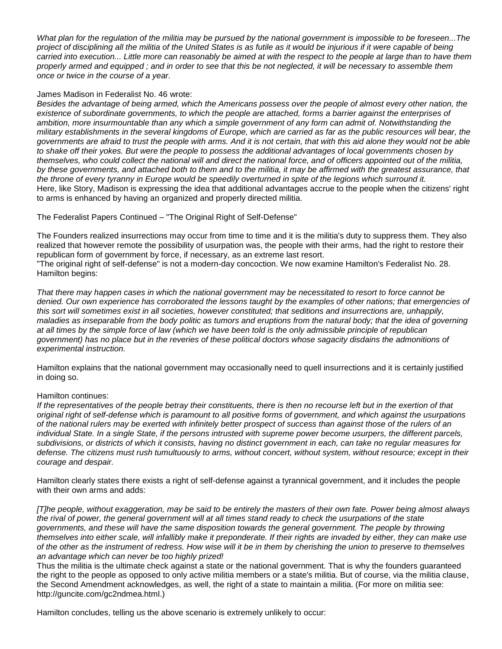*What plan for the regulation of the militia may be pursued by the national government is impossible to be foreseen...The project of disciplining all the militia of the United States is as futile as it would be injurious if it were capable of being carried into execution... Little more can reasonably be aimed at with the respect to the people at large than to have them properly armed and equipped ; and in order to see that this be not neglected, it will be necessary to assemble them once or twice in the course of a year.*

## [James Madison](http://www.whitehouse.gov/history/presidents/jm4.html) in [Federalist No. 46](http://avalon.law.yale.edu/18th_century/fed46.asp) wrote:

*Besides the advantage of being armed, which the Americans possess over the people of almost every other nation, the existence of subordinate governments, to which the people are attached, forms a barrier against the enterprises of ambition, more insurmountable than any which a simple government of any form can admit of. Notwithstanding the military establishments in the several kingdoms of Europe, which are carried as far as the public resources will bear, the governments are afraid to trust the people with arms. And it is not certain, that with this aid alone they would not be able to shake off their yokes. But were the people to possess the additional advantages of local governments chosen by themselves, who could collect the national will and direct the national force, and of officers appointed out of the militia, by these governments, and attached both to them and to the militia, it may be affirmed with the greatest assurance, that the throne of every tyranny in Europe would be speedily overturned in spite of the legions which surround it.*  Here, like Story, Madison is expressing the idea that additional advantages accrue to the people when the citizens' right to arms is enhanced by having an organized and properly directed militia.

The Federalist Papers Continued – "The Original Right of Self-Defense"

The Founders realized insurrections may occur from time to time and it is the militia's duty to suppress them. They also realized that however remote the possibility of usurpation was, the people with their arms, had the right to restore their republican form of government by force, if necessary, as an extreme last resort.

"The original right of self-defense" is not a modern-day concoction. We now examine Hamilton's [Federalist No. 28.](http://avalon.law.yale.edu/18th_century/fed28.asp) Hamilton begins:

*That there may happen cases in which the national government may be necessitated to resort to force cannot be*  denied. Our own experience has corroborated the lessons taught by the examples of other nations; that emergencies of *this sort will sometimes exist in all societies, however constituted; that seditions and insurrections are, unhappily, maladies as inseparable from the body politic as tumors and eruptions from the natural body; that the idea of governing at all times by the simple force of law (which we have been told is the only admissible principle of republican government) has no place but in the reveries of these political doctors whose sagacity disdains the admonitions of experimental instruction.*

Hamilton explains that the national government may occasionally need to quell insurrections and it is certainly justified in doing so.

## Hamilton continues:

*If the representatives of the people betray their constituents, there is then no recourse left but in the exertion of that original right of self-defense which is paramount to all positive forms of government, and which against the usurpations of the national rulers may be exerted with infinitely better prospect of success than against those of the rulers of an individual State. In a single State, if the persons intrusted with supreme power become usurpers, the different parcels, subdivisions, or districts of which it consists, having no distinct government in each, can take no regular measures for defense. The citizens must rush tumultuously to arms, without concert, without system, without resource; except in their courage and despair.* 

Hamilton clearly states there exists a right of self-defense against a tyrannical government, and it includes the people with their own arms and adds:

*[T]he people, without exaggeration, may be said to be entirely the masters of their own fate. Power being almost always the rival of power, the general government will at all times stand ready to check the usurpations of the state governments, and these will have the same disposition towards the general government. The people by throwing themselves into either scale, will infallibly make it preponderate. If their rights are invaded by either, they can make use of the other as the instrument of redress. How wise will it be in them by cherishing the union to preserve to themselves an advantage which can never be too highly prized!*

Thus the militia is the ultimate check against a state or the national government. That is why the founders guaranteed the right to the people as opposed to only active militia members or a state's militia. But of course, via the militia clause, the Second Amendment acknowledges, as well, the right of a state to maintain a militia. (For more on militia see: [http://guncite.com/gc2ndmea.html.](http://guncite.com/gc2ndmea.html#MI))

Hamilton concludes, telling us the above scenario is extremely unlikely to occur: